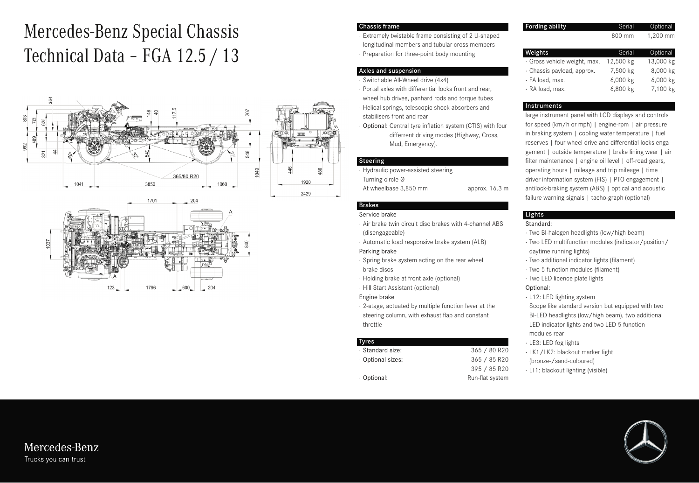# Mercedes-Benz Special Chassis Technical Data – FGA 12.5 / 13





#### Chassis frame

- · Extremely twistable frame consisting of 2 U-shaped longitudinal members and tubular cross members
- · Preparation for three-point body mounting

#### Axles and suspension

- · Switchable All-Wheel drive (4x4)
- · Portal axles with differential locks front and rear, wheel hub drives, panhard rods and torque tubes
- · Helical springs, telescopic shock-absorbers and stabilisers front and rear
- · Optional: Central tyre inflation system (CTIS) with four differrent driving modes (Highway, Cross, Mud, Emergency).

#### Steering

- · Hydraulic power-assisted steering
- Turning circle Ø
- At wheelbase 3,850 mm approx. 16.3 m

### Brakes

#### Service brake

- · Air brake twin circuit disc brakes with 4-channel ABS (disengageable)
- · Automatic load responsive brake system (ALB)

#### Parking brake

- · Spring brake system acting on the rear wheel
- · Holding brake at front axle (optional)
- · Hill Start Assistant (optional)
- · 2-stage, actuated by multiple function lever at the steering column, with exhaust flap and constant throttle

#### Tyres

| · Standard size: | 365 / 80 R20    |
|------------------|-----------------|
| Optional sizes:  | 365 / 85 R20    |
|                  | 395 / 85 R20    |
| Optional:        | Run-flat system |

#### **Fording ability** Serial Optional 800 mm 1,200 mm

| Weights                      | Serial.   | Optional  |
|------------------------------|-----------|-----------|
| · Gross vehicle weight, max. | 12,500 kg | 13,000 kg |
| · Chassis payload, approx.   | 7,500 kg  | 8,000 kg  |
| · FA load, max.              | 6,000 kg  | 6,000 kg  |
| · RA load, max.              | 6,800 kg  | 7,100 kg  |

#### **Instruments**

large instrument panel with LCD displays and controls for speed (km/h or mph) | engine-rpm | air pressure in braking system | cooling water temperature | fuel reserves | four wheel drive and differential locks engagement | outside temperature | brake lining wear | air filter maintenance | engine oil level | off-road gears, operating hours | mileage and trip mileage | time | driver information system (FIS) | PTO engagement | antilock-braking system (ABS) | optical and acoustic failure warning signals | tacho-graph (optional)

#### Lights

#### Standard:

- · Two BI-halogen headlights (low/high beam)
- · Two LED multifunction modules (indicator/position/ daytime running lights)
- · Two additional indicator lights (filament)
- · Two 5-function modules (filament)
- · Two LED licence plate lights

#### Optional:

- · L12: LED lighting system
- Scope like standard version but equipped with two BI-LED headlights (low/high beam), two additional LED indicator lights and two LED 5-function modules rear
- · LE3: LED fog lights
- · LK1/LK2: blackout marker light
- (bronze-/sand-coloured)
- · LT1: blackout lighting (visible)





Mercedes-Benz Trucks you can trust

Engine brake

## brake discs